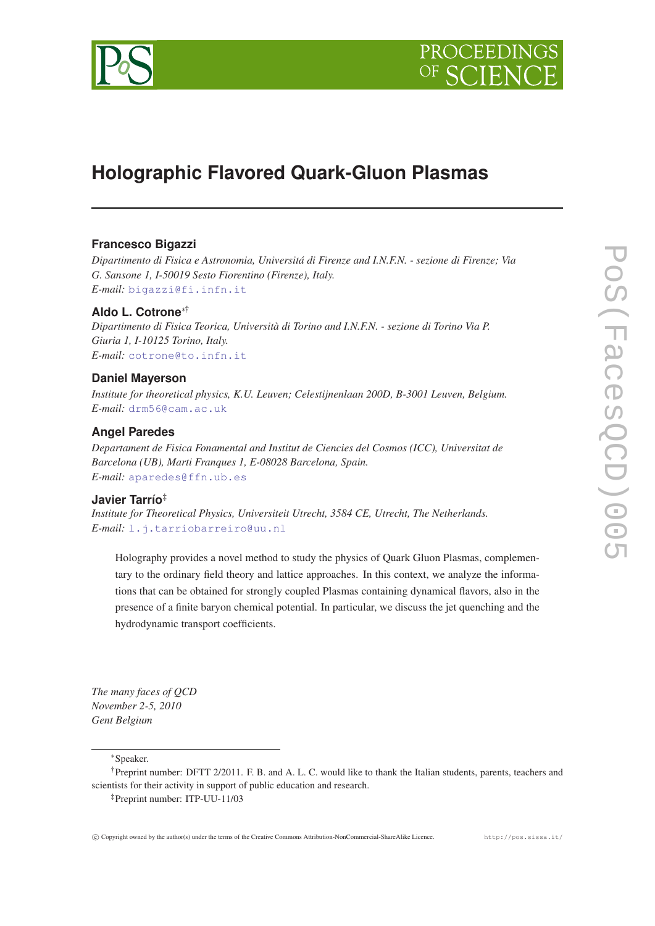



# **Holographic Flavored Quark-Gluon Plasmas**

## **Francesco Bigazzi**

*Dipartimento di Fisica e Astronomia, Universitá di Firenze and I.N.F.N. - sezione di Firenze; Via G. Sansone 1, I-50019 Sesto Fiorentino (Firenze), Italy. E-mail:* [bigazzi@fi.infn.it](mailto:bigazzi@fi.infn.it)

## **Aldo L. Cotrone**∗†

*Dipartimento di Fisica Teorica, Università di Torino and I.N.F.N. - sezione di Torino Via P. Giuria 1, I-10125 Torino, Italy. E-mail:* [cotrone@to.infn.it](mailto:cotrone@to.infn.it)

#### **Daniel Mayerson**

*Institute for theoretical physics, K.U. Leuven; Celestijnenlaan 200D, B-3001 Leuven, Belgium. E-mail:* [drm56@cam.ac.uk](mailto:drm56@cam.ac.uk)

## **Angel Paredes**

*Departament de Fisica Fonamental and Institut de Ciencies del Cosmos (ICC), Universitat de Barcelona (UB), Marti Franques 1, E-08028 Barcelona, Spain. E-mail:* [aparedes@ffn.ub.es](mailto:aparedes@ffn.ub.es)

## **Javier Tarrío**‡

*Institute for Theoretical Physics, Universiteit Utrecht, 3584 CE, Utrecht, The Netherlands. E-mail:* [l.j.tarriobarreiro@uu.nl](mailto:l.j.tarriobarreiro@uu.nl)

Holography provides a novel method to study the physics of Quark Gluon Plasmas, complementary to the ordinary field theory and lattice approaches. In this context, we analyze the informations that can be obtained for strongly coupled Plasmas containing dynamical flavors, also in the presence of a finite baryon chemical potential. In particular, we discuss the jet quenching and the hydrodynamic transport coefficients.

*The many faces of QCD November 2-5, 2010 Gent Belgium*

<sup>∗</sup>Speaker.

<sup>†</sup>Preprint number: DFTT 2/2011. F. B. and A. L. C. would like to thank the Italian students, parents, teachers and scientists for their activity in support of public education and research.

<sup>‡</sup>Preprint number: ITP-UU-11/03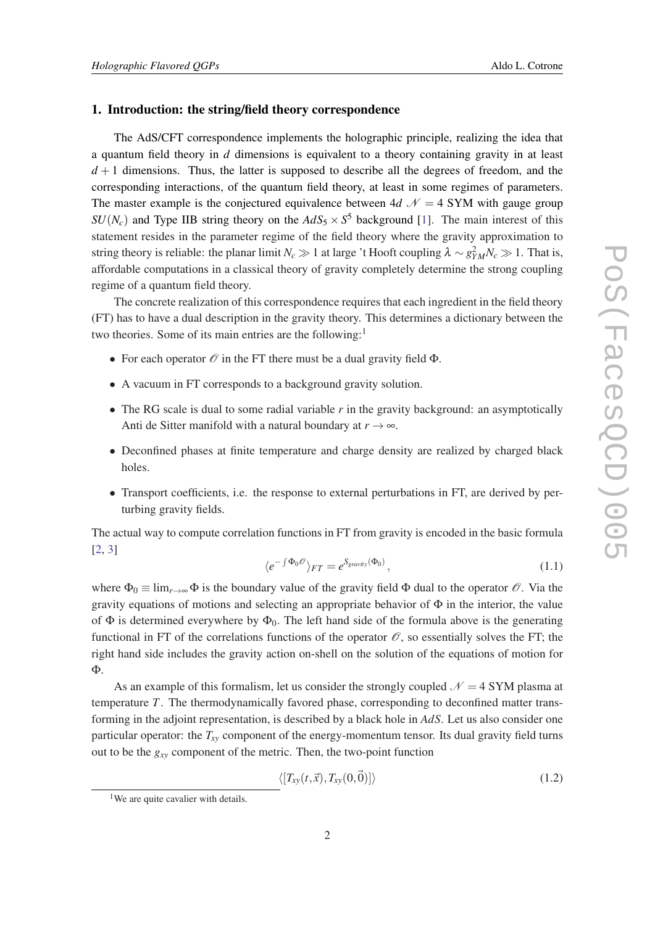#### 1. Introduction: the string/field theory correspondence

The AdS/CFT correspondence implements the holographic principle, realizing the idea that a quantum field theory in *d* dimensions is equivalent to a theory containing gravity in at least  $d+1$  dimensions. Thus, the latter is supposed to describe all the degrees of freedom, and the corresponding interactions, of the quantum field theory, at least in some regimes of parameters. The master example is the conjectured equivalence between 4*d*  $\mathcal{N} = 4$  SYM with gauge group  $SU(N_c)$  and Type IIB string theory on the  $AdS_5 \times S^5$  background [[1](#page-8-0)]. The main interest of this statement resides in the parameter regime of the field theory where the gravity approximation to string theory is reliable: the planar limit *N<sub>c*</sub>  $\gg$  1 at large 't Hooft coupling  $\lambda \sim g_{YM}^2 N_c \gg 1$ . That is, affordable computations in a classical theory of gravity completely determine the strong coupling regime of a quantum field theory.

The concrete realization of this correspondence requires that each ingredient in the field theory (FT) has to have a dual description in the gravity theory. This determines a dictionary between the two theories. Some of its main entries are the following:<sup>1</sup>

- For each operator  $\mathcal O$  in the FT there must be a dual gravity field  $\Phi$ .
- A vacuum in FT corresponds to a background gravity solution.
- The RG scale is dual to some radial variable *r* in the gravity background: an asymptotically Anti de Sitter manifold with a natural boundary at  $r \to \infty$ .
- Deconfined phases at finite temperature and charge density are realized by charged black holes.
- Transport coefficients, i.e. the response to external perturbations in FT, are derived by perturbing gravity fields.

The actual way to compute correlation functions in FT from gravity is encoded in the basic formula [[2](#page-8-0), [3](#page-8-0)]

$$
\langle e^{-\int \Phi_0 \mathcal{O}} \rangle_{FT} = e^{S_{gravity}(\Phi_0)}, \qquad (1.1)
$$

where  $\Phi_0 \equiv \lim_{r \to \infty} \Phi$  is the boundary value of the gravity field  $\Phi$  dual to the operator  $\mathscr{O}$ . Via the gravity equations of motions and selecting an appropriate behavior of  $\Phi$  in the interior, the value of  $\Phi$  is determined everywhere by  $\Phi_0$ . The left hand side of the formula above is the generating functional in FT of the correlations functions of the operator  $\mathcal O$ , so essentially solves the FT; the right hand side includes the gravity action on-shell on the solution of the equations of motion for Φ.

As an example of this formalism, let us consider the strongly coupled  $\mathcal{N} = 4$  SYM plasma at temperature *T*. The thermodynamically favored phase, corresponding to deconfined matter transforming in the adjoint representation, is described by a black hole in *AdS*. Let us also consider one particular operator: the *Txy* component of the energy-momentum tensor. Its dual gravity field turns out to be the  $g_{xy}$  component of the metric. Then, the two-point function

$$
\langle [T_{xy}(t,\vec{x}),T_{xy}(0,\vec{0})] \rangle \tag{1.2}
$$

<sup>&</sup>lt;sup>1</sup>We are quite cavalier with details.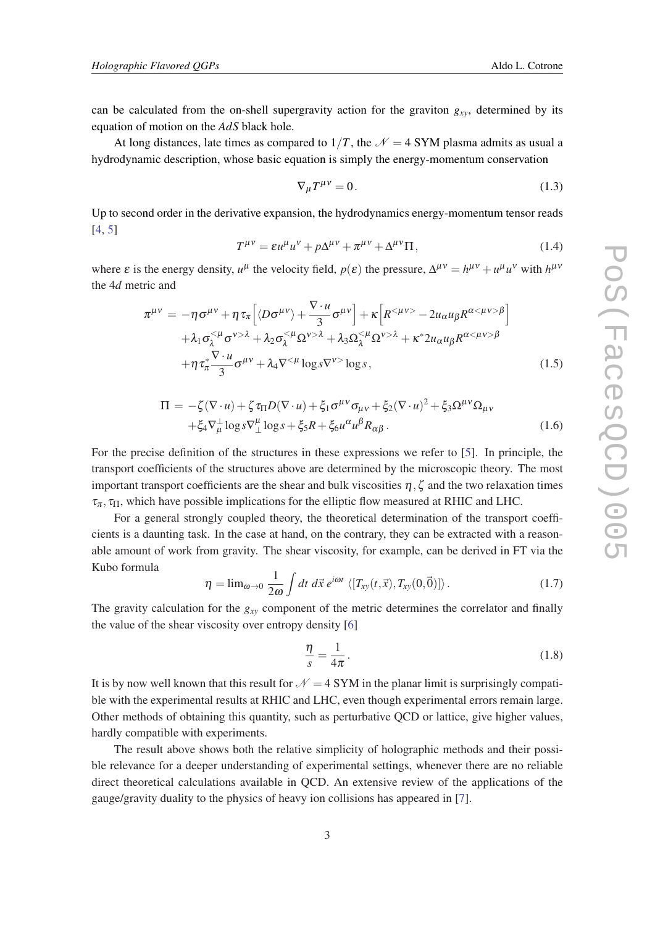<span id="page-2-0"></span>can be calculated from the on-shell supergravity action for the graviton *gxy*, determined by its equation of motion on the *AdS* black hole.

At long distances, late times as compared to  $1/T$ , the  $\mathcal{N} = 4$  SYM plasma admits as usual a hydrodynamic description, whose basic equation is simply the energy-momentum conservation

$$
\nabla_{\mu}T^{\mu\nu} = 0. \tag{1.3}
$$

Up to second order in the derivative expansion, the hydrodynamics energy-momentum tensor reads [[4](#page-8-0), [5](#page-8-0)]

$$
T^{\mu\nu} = \varepsilon u^{\mu} u^{\nu} + p \Delta^{\mu\nu} + \pi^{\mu\nu} + \Delta^{\mu\nu} \Pi, \qquad (1.4)
$$

where  $\varepsilon$  is the energy density,  $u^{\mu}$  the velocity field,  $p(\varepsilon)$  the pressure,  $\Delta^{\mu\nu} = h^{\mu\nu} + u^{\mu}u^{\nu}$  with  $h^{\mu\nu}$ the 4*d* metric and

$$
\pi^{\mu\nu} = -\eta \sigma^{\mu\nu} + \eta \tau_{\pi} \Big[ \langle D\sigma^{\mu\nu} \rangle + \frac{\nabla \cdot u}{3} \sigma^{\mu\nu} \Big] + \kappa \Big[ R^{<\mu\nu>} - 2u_{\alpha} u_{\beta} R^{\alpha <\mu\nu > \beta} \Big] \n+ \lambda_1 \sigma_{\lambda}^{<\mu} \sigma^{\nu > \lambda} + \lambda_2 \sigma_{\lambda}^{<\mu} \Omega^{\nu > \lambda} + \lambda_3 \Omega_{\lambda}^{<\mu} \Omega^{\nu > \lambda} + \kappa^* 2u_{\alpha} u_{\beta} R^{\alpha <\mu\nu > \beta} \n+ \eta \tau_{\pi}^* \frac{\nabla \cdot u}{3} \sigma^{\mu\nu} + \lambda_4 \nabla^{<\mu} \log s \nabla^{\nu>} \log s ,
$$
\n(1.5)

$$
\Pi = -\zeta(\nabla \cdot u) + \zeta \tau_{\Pi} D(\nabla \cdot u) + \xi_1 \sigma^{\mu \nu} \sigma_{\mu \nu} + \xi_2 (\nabla \cdot u)^2 + \xi_3 \Omega^{\mu \nu} \Omega_{\mu \nu} \n+ \xi_4 \nabla_{\mu}^{\perp} \log s \nabla_{\perp}^{\mu} \log s + \xi_5 R + \xi_6 u^{\alpha} u^{\beta} R_{\alpha \beta}.
$$
\n(1.6)

For the precise definition of the structures in these expressions we refer to [[5](#page-8-0)]. In principle, the transport coefficients of the structures above are determined by the microscopic theory. The most important transport coefficients are the shear and bulk viscosities  $\eta$ ,  $\zeta$  and the two relaxation times  $\tau_{\pi}$ ,  $\tau_{\Pi}$ , which have possible implications for the elliptic flow measured at RHIC and LHC.

For a general strongly coupled theory, the theoretical determination of the transport coefficients is a daunting task. In the case at hand, on the contrary, they can be extracted with a reasonable amount of work from gravity. The shear viscosity, for example, can be derived in FT via the Kubo formula

$$
\eta = \lim_{\omega \to 0} \frac{1}{2\omega} \int dt \, d\vec{x} \, e^{i\omega t} \, \langle [T_{xy}(t, \vec{x}), T_{xy}(0, \vec{0})] \rangle \, . \tag{1.7}
$$

The gravity calculation for the *gxy* component of the metric determines the correlator and finally the value of the shear viscosity over entropy density [\[6\]](#page-8-0)

$$
\frac{\eta}{s} = \frac{1}{4\pi}.\tag{1.8}
$$

It is by now well known that this result for  $N = 4$  SYM in the planar limit is surprisingly compatible with the experimental results at RHIC and LHC, even though experimental errors remain large. Other methods of obtaining this quantity, such as perturbative QCD or lattice, give higher values, hardly compatible with experiments.

The result above shows both the relative simplicity of holographic methods and their possible relevance for a deeper understanding of experimental settings, whenever there are no reliable direct theoretical calculations available in QCD. An extensive review of the applications of the gauge/gravity duality to the physics of heavy ion collisions has appeared in [\[7\]](#page-8-0).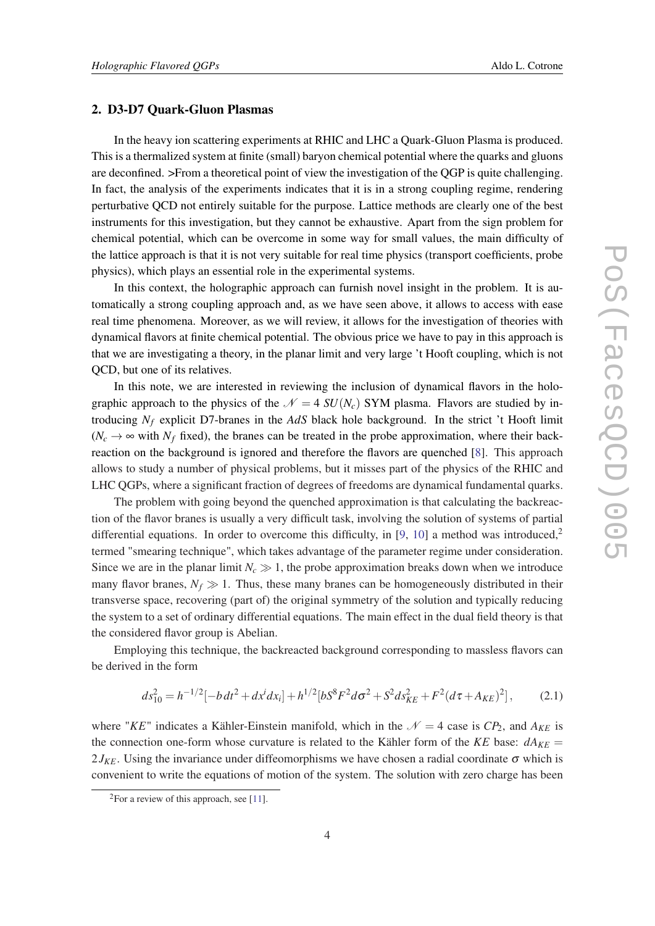#### 2. D3-D7 Quark-Gluon Plasmas

In the heavy ion scattering experiments at RHIC and LHC a Quark-Gluon Plasma is produced. This is a thermalized system at finite (small) baryon chemical potential where the quarks and gluons are deconfined. >From a theoretical point of view the investigation of the QGP is quite challenging. In fact, the analysis of the experiments indicates that it is in a strong coupling regime, rendering perturbative QCD not entirely suitable for the purpose. Lattice methods are clearly one of the best instruments for this investigation, but they cannot be exhaustive. Apart from the sign problem for chemical potential, which can be overcome in some way for small values, the main difficulty of the lattice approach is that it is not very suitable for real time physics (transport coefficients, probe physics), which plays an essential role in the experimental systems.

In this context, the holographic approach can furnish novel insight in the problem. It is automatically a strong coupling approach and, as we have seen above, it allows to access with ease real time phenomena. Moreover, as we will review, it allows for the investigation of theories with dynamical flavors at finite chemical potential. The obvious price we have to pay in this approach is that we are investigating a theory, in the planar limit and very large 't Hooft coupling, which is not QCD, but one of its relatives.

In this note, we are interested in reviewing the inclusion of dynamical flavors in the holographic approach to the physics of the  $\mathcal{N} = 4$  *SU*(*N<sub>c</sub>*) SYM plasma. Flavors are studied by introducing *N<sup>f</sup>* explicit D7-branes in the *AdS* black hole background. In the strict 't Hooft limit  $(N_c \rightarrow \infty$  with  $N_f$  fixed), the branes can be treated in the probe approximation, where their backreaction on the background is ignored and therefore the flavors are quenched [[8](#page-8-0)]. This approach allows to study a number of physical problems, but it misses part of the physics of the RHIC and LHC QGPs, where a significant fraction of degrees of freedoms are dynamical fundamental quarks.

The problem with going beyond the quenched approximation is that calculating the backreaction of the flavor branes is usually a very difficult task, involving the solution of systems of partial differential equations. In order to overcome this difficulty, in [\[9,](#page-8-0) [10\]](#page-8-0) a method was introduced,<sup>2</sup> termed "smearing technique", which takes advantage of the parameter regime under consideration. Since we are in the planar limit  $N_c \gg 1$ , the probe approximation breaks down when we introduce many flavor branes,  $N_f \gg 1$ . Thus, these many branes can be homogeneously distributed in their transverse space, recovering (part of) the original symmetry of the solution and typically reducing the system to a set of ordinary differential equations. The main effect in the dual field theory is that the considered flavor group is Abelian.

Employing this technique, the backreacted background corresponding to massless flavors can be derived in the form

$$
ds_{10}^2 = h^{-1/2}[-b dt^2 + dx^i dx_i] + h^{1/2}[b S^8 F^2 d \sigma^2 + S^2 ds_{KE}^2 + F^2 (d \tau + A_{KE})^2],\tag{2.1}
$$

where "*KE*" indicates a Kähler-Einstein manifold, which in the  $\mathcal{N} = 4$  case is  $CP_2$ , and  $A_{KE}$  is the connection one-form whose curvature is related to the Kähler form of the *KE* base:  $dA_{KE}$  =  $2J_{KF}$ . Using the invariance under diffeomorphisms we have chosen a radial coordinate  $\sigma$  which is convenient to write the equations of motion of the system. The solution with zero charge has been

<sup>&</sup>lt;sup>2</sup>For a review of this approach, see [[11\]](#page-8-0).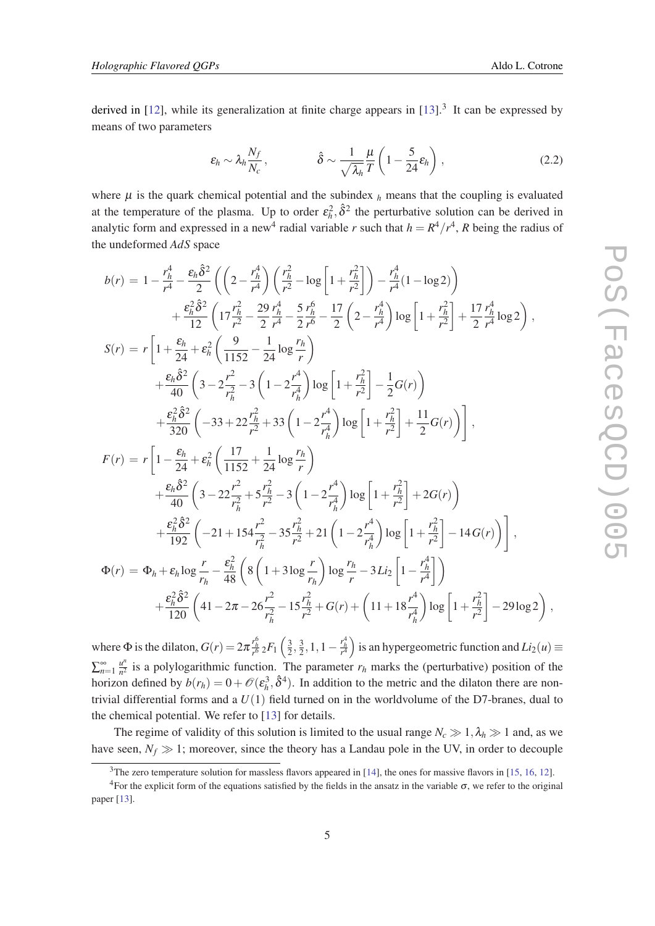,

derived in  $[12]$  $[12]$ , while its generalization at finite charge appears in  $[13]$  $[13]$ .<sup>3</sup> It can be expressed by means of two parameters

$$
\varepsilon_h \sim \lambda_h \frac{N_f}{N_c}, \qquad \hat{\delta} \sim \frac{1}{\sqrt{\lambda_h}} \frac{\mu}{T} \left( 1 - \frac{5}{24} \varepsilon_h \right), \qquad (2.2)
$$

where  $\mu$  is the quark chemical potential and the subindex  $\lambda$  means that the coupling is evaluated at the temperature of the plasma. Up to order  $\varepsilon_h^2$ ,  $\hat{\delta}^2$  the perturbative solution can be derived in analytic form and expressed in a new<sup>4</sup> radial variable *r* such that  $h = R^4/r^4$ , *R* being the radius of the undeformed *AdS* space

$$
b(r) = 1 - \frac{r_h^4}{r^4} - \frac{\varepsilon_h \hat{\delta}^2}{2} \left( \left( 2 - \frac{r_h^4}{r^4} \right) \left( \frac{r_h^2}{r^2} - \log \left[ 1 + \frac{r_h^2}{r^2} \right] \right) - \frac{r_h^4}{r^4} (1 - \log 2) \right) + \frac{\varepsilon_h^2 \hat{\delta}^2}{12} \left( 17 \frac{r_h^2}{r^2} - \frac{29}{2} \frac{r_h^4}{r^4} - \frac{5}{2} \frac{r_h^6}{r^6} - \frac{17}{2} \left( 2 - \frac{r_h^4}{r^4} \right) \log \left[ 1 + \frac{r_h^2}{r^2} \right] + \frac{17}{2} \frac{r_h^4}{r^4} \log 2 \right),
$$
  

$$
S(r) = r \left[ 1 + \frac{\varepsilon_h}{24} + \varepsilon_h^2 \left( \frac{9}{1152} - \frac{1}{24} \log \frac{r_h}{r} \right) + \frac{\varepsilon_h \hat{\delta}^2}{40} \left( 3 - 2 \frac{r^2}{r_h^2} - 3 \left( 1 - 2 \frac{r^4}{r_h^4} \right) \log \left[ 1 + \frac{r_h^2}{r^2} \right] - \frac{1}{2} G(r) \right) + \frac{\varepsilon_h^2 \hat{\delta}^2}{320} \left( -33 + 22 \frac{r_h^2}{r^2} + 33 \left( 1 - 2 \frac{r^4}{r_h^4} \right) \log \left[ 1 + \frac{r_h^2}{r^2} \right] + \frac{11}{2} G(r) \right) \right],
$$
  

$$
F(r) = r \left[ 1 - \frac{\varepsilon_h}{24} + \varepsilon_h^2 \left( \frac{17}{1152} + \frac{1}{24} \log \frac{r_h}{r} \right) + \frac{\varepsilon_h \hat{\delta}^2}{40} \left( 3 - 22 \frac{r^2}{r_h^2} + 5 \frac{r_h^2}{r^2} - 3 \left( 1 - 2 \frac{r^4}{r_h^4} \right) \log \left[ 1 + \frac{r_h^2}{r
$$

where  $\Phi$  is the dilaton,  $G(r) = 2\pi \frac{r_h^6}{r^6} {}_2F_1\left(\frac{3}{2}\right)$  $\frac{3}{2}, \frac{3}{2}$  $\frac{3}{2}$ , 1, 1 –  $\frac{r_h^4}{r^4}$  is an hypergeometric function and *Li*<sub>2</sub>(*u*) ≡  $\sum_{n=1}^{\infty} \frac{u^n}{n^2}$  $\frac{u^n}{n^2}$  is a polylogarithmic function. The parameter  $r_h$  marks the (perturbative) position of the horizon defined by  $b(r_h) = 0 + \mathcal{O}(\varepsilon_h^3, \hat{\delta}^4)$ . In addition to the metric and the dilaton there are nontrivial differential forms and a *U*(1) field turned on in the worldvolume of the D7-branes, dual to the chemical potential. We refer to [[13\]](#page-8-0) for details.

The regime of validity of this solution is limited to the usual range  $N_c \gg 1$ ,  $\lambda_h \gg 1$  and, as we have seen,  $N_f \gg 1$ ; moreover, since the theory has a Landau pole in the UV, in order to decouple

 $3$ The zero temperature solution for massless flavors appeared in [\[14](#page-8-0)], the ones for massive flavors in [\[15](#page-8-0), [16,](#page-8-0) [12](#page-8-0)].

<sup>&</sup>lt;sup>4</sup>For the explicit form of the equations satisfied by the fields in the ansatz in the variable  $\sigma$ , we refer to the original paper [\[13](#page-8-0)].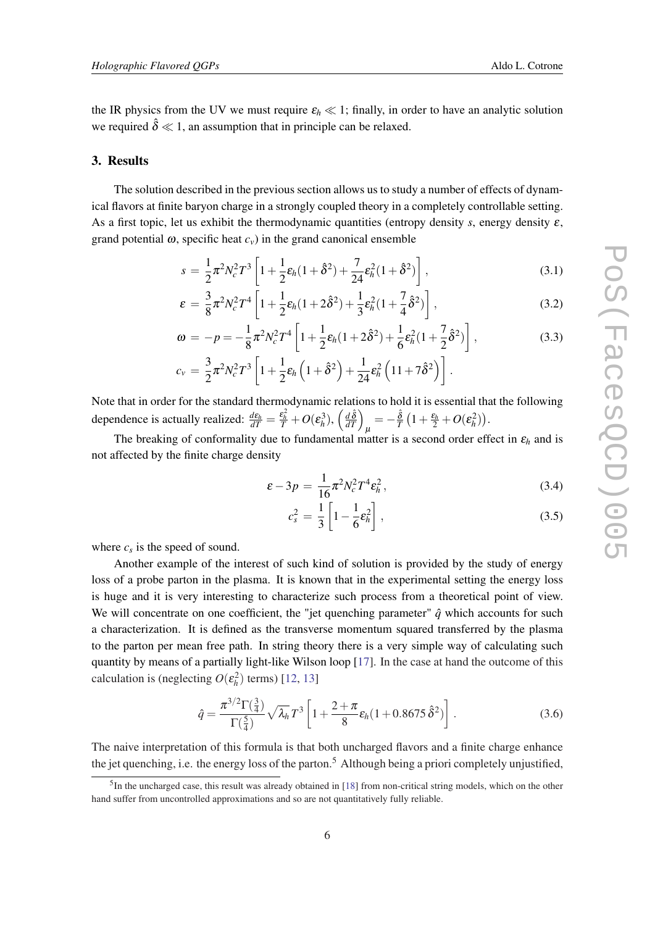<span id="page-5-0"></span>the IR physics from the UV we must require  $\varepsilon_h \ll 1$ ; finally, in order to have an analytic solution we required  $\hat{\delta} \ll 1$ , an assumption that in principle can be relaxed.

#### 3. Results

The solution described in the previous section allows us to study a number of effects of dynamical flavors at finite baryon charge in a strongly coupled theory in a completely controllable setting. As a first topic, let us exhibit the thermodynamic quantities (entropy density *s*, energy density ε, grand potential  $\omega$ , specific heat  $c<sub>v</sub>$ ) in the grand canonical ensemble

$$
s = \frac{1}{2}\pi^2 N_c^2 T^3 \left[ 1 + \frac{1}{2}\varepsilon_h (1 + \hat{\delta}^2) + \frac{7}{24}\varepsilon_h^2 (1 + \hat{\delta}^2) \right],
$$
 (3.1)

$$
\varepsilon = \frac{3}{8}\pi^2 N_c^2 T^4 \left[ 1 + \frac{1}{2}\varepsilon_h (1 + 2\hat{\delta}^2) + \frac{1}{3}\varepsilon_h^2 (1 + \frac{7}{4}\hat{\delta}^2) \right],
$$
 (3.2)

$$
\omega = -p = -\frac{1}{8}\pi^2 N_c^2 T^4 \left[ 1 + \frac{1}{2}\varepsilon_h (1 + 2\hat{\delta}^2) + \frac{1}{6}\varepsilon_h^2 (1 + \frac{7}{2}\hat{\delta}^2) \right],
$$
(3.3)

$$
c_{v} = \frac{3}{2}\pi^{2}N_{c}^{2}T^{3}\left[1 + \frac{1}{2}\varepsilon_{h}\left(1 + \hat{\delta}^{2}\right) + \frac{1}{24}\varepsilon_{h}^{2}\left(11 + 7\hat{\delta}^{2}\right)\right].
$$

Note that in order for the standard thermodynamic relations to hold it is essential that the following dependence is actually realized:  $\frac{d\varepsilon_h}{dT} = \frac{\varepsilon_h^2}{T} + O(\varepsilon_h^3), \left(\frac{d\hat{\delta}}{dT}\right)_\mu = -\frac{\hat{\delta}}{T} \left(1 + \frac{\varepsilon_h}{2} + O(\varepsilon_h^2)\right).$ 

The breaking of conformality due to fundamental matter is a second order effect in  $\varepsilon_h$  and is not affected by the finite charge density

$$
\varepsilon - 3p = \frac{1}{16} \pi^2 N_c^2 T^4 \varepsilon_h^2, \qquad (3.4)
$$

$$
c_s^2 = \frac{1}{3} \left[ 1 - \frac{1}{6} \varepsilon_h^2 \right],\tag{3.5}
$$

where  $c_s$  is the speed of sound.

Another example of the interest of such kind of solution is provided by the study of energy loss of a probe parton in the plasma. It is known that in the experimental setting the energy loss is huge and it is very interesting to characterize such process from a theoretical point of view. We will concentrate on one coefficient, the "jet quenching parameter"  $\hat{q}$  which accounts for such a characterization. It is defined as the transverse momentum squared transferred by the plasma to the parton per mean free path. In string theory there is a very simple way of calculating such quantity by means of a partially light-like Wilson loop [\[17\]](#page-8-0). In the case at hand the outcome of this calculation is (neglecting  $O(\varepsilon_h^2)$  terms) [\[12,](#page-8-0) [13](#page-8-0)]

$$
\hat{q} = \frac{\pi^{3/2} \Gamma(\frac{3}{4})}{\Gamma(\frac{5}{4})} \sqrt{\lambda_h} T^3 \left[ 1 + \frac{2 + \pi}{8} \varepsilon_h (1 + 0.8675 \,\hat{\delta}^2) \right]. \tag{3.6}
$$

The naive interpretation of this formula is that both uncharged flavors and a finite charge enhance the jet quenching, i.e. the energy loss of the parton.<sup>5</sup> Although being a priori completely unjustified,

<sup>&</sup>lt;sup>5</sup>In the uncharged case, this result was already obtained in [[18\]](#page-9-0) from non-critical string models, which on the other hand suffer from uncontrolled approximations and so are not quantitatively fully reliable.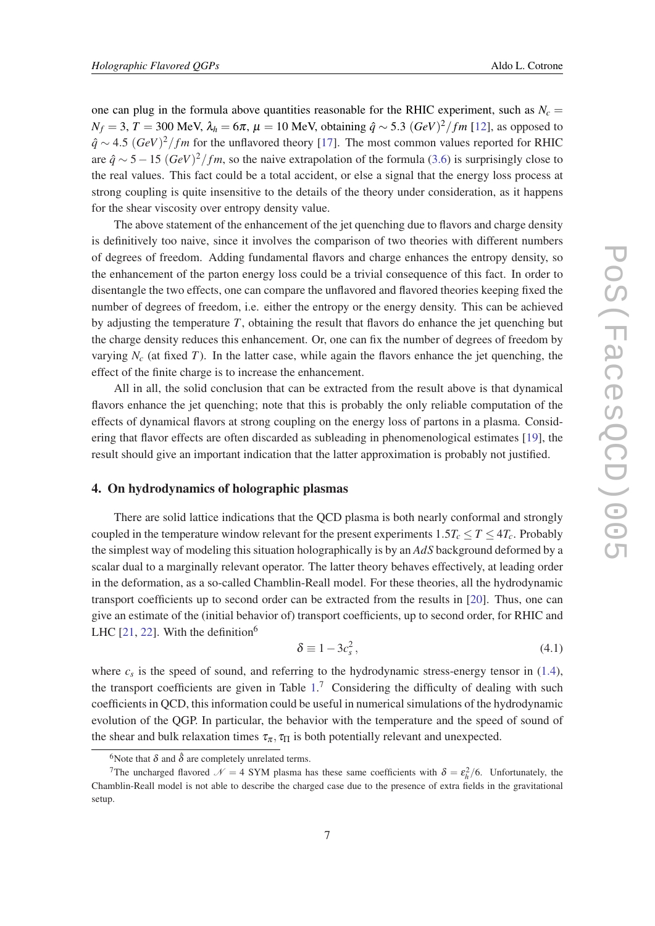one can plug in the formula above quantities reasonable for the RHIC experiment, such as  $N_c$  = *N*<sup>*f*</sup> = 3, *T* = 300 MeV,  $λ$ <sup>*h*</sup> = 6π,  $μ$  = 10 MeV, obtaining  $\hat{q}$  ~ 5.3 (*GeV*)<sup>2</sup>/*fm* [[12](#page-8-0)], as opposed to *q*<sup></sup> ∼ 4.5 (*GeV*)<sup>2</sup>/*fm* for the unflavored theory [[17\]](#page-8-0). The most common values reported for RHIC are  $\hat{q} \sim 5-15 \ (GeV)^2/fm$ , so the naive extrapolation of the formula ([3.6](#page-5-0)) is surprisingly close to the real values. This fact could be a total accident, or else a signal that the energy loss process at strong coupling is quite insensitive to the details of the theory under consideration, as it happens for the shear viscosity over entropy density value.

The above statement of the enhancement of the jet quenching due to flavors and charge density is definitively too naive, since it involves the comparison of two theories with different numbers of degrees of freedom. Adding fundamental flavors and charge enhances the entropy density, so the enhancement of the parton energy loss could be a trivial consequence of this fact. In order to disentangle the two effects, one can compare the unflavored and flavored theories keeping fixed the number of degrees of freedom, i.e. either the entropy or the energy density. This can be achieved by adjusting the temperature *T*, obtaining the result that flavors do enhance the jet quenching but the charge density reduces this enhancement. Or, one can fix the number of degrees of freedom by varying  $N_c$  (at fixed *T*). In the latter case, while again the flavors enhance the jet quenching, the effect of the finite charge is to increase the enhancement.

All in all, the solid conclusion that can be extracted from the result above is that dynamical flavors enhance the jet quenching; note that this is probably the only reliable computation of the effects of dynamical flavors at strong coupling on the energy loss of partons in a plasma. Considering that flavor effects are often discarded as subleading in phenomenological estimates [\[19](#page-9-0)], the result should give an important indication that the latter approximation is probably not justified.

## 4. On hydrodynamics of holographic plasmas

There are solid lattice indications that the QCD plasma is both nearly conformal and strongly coupled in the temperature window relevant for the present experiments  $1.5T_c \leq T \leq 4T_c$ . Probably the simplest way of modeling this situation holographically is by an *AdS* background deformed by a scalar dual to a marginally relevant operator. The latter theory behaves effectively, at leading order in the deformation, as a so-called Chamblin-Reall model. For these theories, all the hydrodynamic transport coefficients up to second order can be extracted from the results in [[20\]](#page-9-0). Thus, one can give an estimate of the (initial behavior of) transport coefficients, up to second order, for RHIC and LHC  $[21, 22]$  $[21, 22]$  $[21, 22]$  $[21, 22]$ . With the definition<sup>6</sup>

$$
\delta \equiv 1 - 3c_s^2,\tag{4.1}
$$

where  $c_s$  is the speed of sound, and referring to the hydrodynamic stress-energy tensor in  $(1.4)$  $(1.4)$ , the transport coefficients are given in Table  $1<sup>7</sup>$  Considering the difficulty of dealing with such coefficients in QCD, this information could be useful in numerical simulations of the hydrodynamic evolution of the QGP. In particular, the behavior with the temperature and the speed of sound of the shear and bulk relaxation times  $\tau_{\pi}$ ,  $\tau_{\Pi}$  is both potentially relevant and unexpected.

<sup>&</sup>lt;sup>6</sup>Note that  $\delta$  and  $\hat{\delta}$  are completely unrelated terms.

<sup>&</sup>lt;sup>7</sup>The uncharged flavored  $\mathcal{N} = 4$  SYM plasma has these same coefficients with  $\delta = \varepsilon_h^2/6$ . Unfortunately, the Chamblin-Reall model is not able to describe the charged case due to the presence of extra fields in the gravitational setup.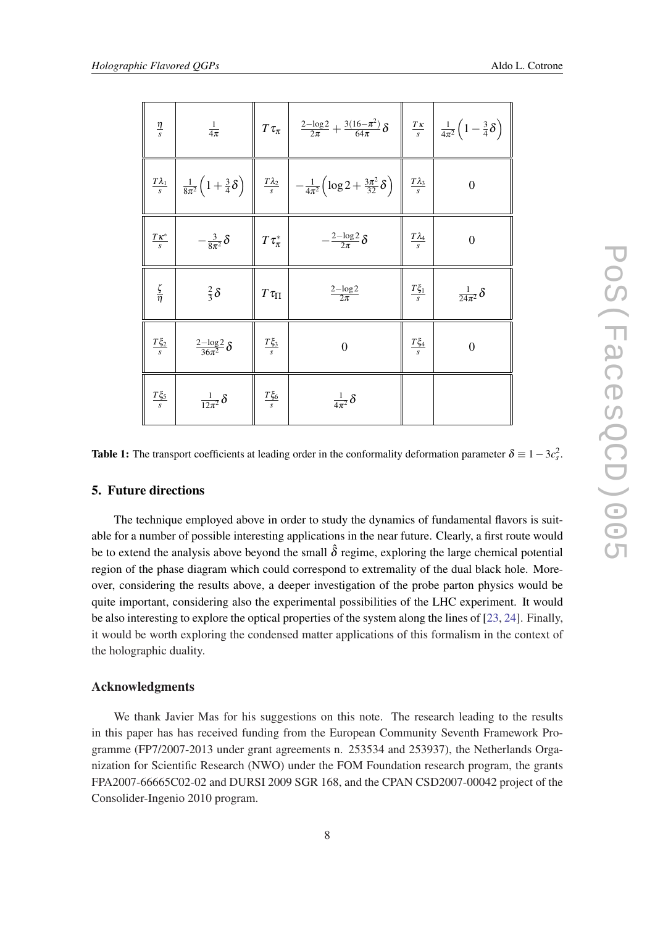<span id="page-7-0"></span>

| $\frac{\eta}{s}$   | $\frac{1}{4\pi}$                 |                     | $T\tau_{\pi}$ $\left \frac{2-\log 2}{2\pi}+\frac{3(16-\pi^2)}{64\pi}\delta\right $                                                                                                                                  |                        | $\frac{T\kappa}{s}$ $\frac{1}{4\pi^2} \left(1 - \frac{3}{4}\delta\right)$ |
|--------------------|----------------------------------|---------------------|---------------------------------------------------------------------------------------------------------------------------------------------------------------------------------------------------------------------|------------------------|---------------------------------------------------------------------------|
|                    |                                  |                     | $\frac{T\lambda_1}{s}\left[\frac{1}{8\pi^2}\left(1+\frac{3}{4}\delta\right)\right]\left[\frac{T\lambda_2}{s}\right] - \frac{1}{4\pi^2}\left(\log 2+\frac{3\pi^2}{32}\delta\right)\left[\frac{T\lambda_3}{s}\right]$ |                        | $\overline{0}$                                                            |
| $\frac{Tx^*}{s}$   | $-\frac{3}{8\pi^2}\delta$        | $T\tau_{\pi}^*$     | $-\frac{2-\log 2}{2\pi}\delta$                                                                                                                                                                                      | $\frac{T\lambda_4}{s}$ | $\overline{0}$                                                            |
| $rac{\zeta}{\eta}$ | $rac{2}{3}\delta$                | $T\,\tau_{\Pi}$     | $\frac{2-\log 2}{2\pi}$                                                                                                                                                                                             | $\frac{T\xi_1}{s}$     | $\frac{1}{24\pi^2}\delta$                                                 |
| $\frac{T\xi_2}{s}$ | $\frac{2-\log 2}{36\pi^2}\delta$ | $\frac{T\xi_3}{s}$  | $\overline{0}$                                                                                                                                                                                                      | $\frac{T\xi_4}{s}$     | $\overline{0}$                                                            |
| $\frac{T\xi_5}{s}$ | $\frac{1}{12\pi^2}\delta$        | $\frac{T \xi_6}{s}$ | $\frac{1}{4\pi^2}\delta$                                                                                                                                                                                            |                        |                                                                           |

Table 1: The transport coefficients at leading order in the conformality deformation parameter  $\delta \equiv 1-3c_s^2$ .

## 5. Future directions

The technique employed above in order to study the dynamics of fundamental flavors is suitable for a number of possible interesting applications in the near future. Clearly, a first route would be to extend the analysis above beyond the small  $\hat{\delta}$  regime, exploring the large chemical potential region of the phase diagram which could correspond to extremality of the dual black hole. Moreover, considering the results above, a deeper investigation of the probe parton physics would be quite important, considering also the experimental possibilities of the LHC experiment. It would be also interesting to explore the optical properties of the system along the lines of [[23,](#page-9-0) [24](#page-9-0)]. Finally, it would be worth exploring the condensed matter applications of this formalism in the context of the holographic duality.

#### Acknowledgments

We thank Javier Mas for his suggestions on this note. The research leading to the results in this paper has has received funding from the European Community Seventh Framework Programme (FP7/2007-2013 under grant agreements n. 253534 and 253937), the Netherlands Organization for Scientific Research (NWO) under the FOM Foundation research program, the grants FPA2007-66665C02-02 and DURSI 2009 SGR 168, and the CPAN CSD2007-00042 project of the Consolider-Ingenio 2010 program.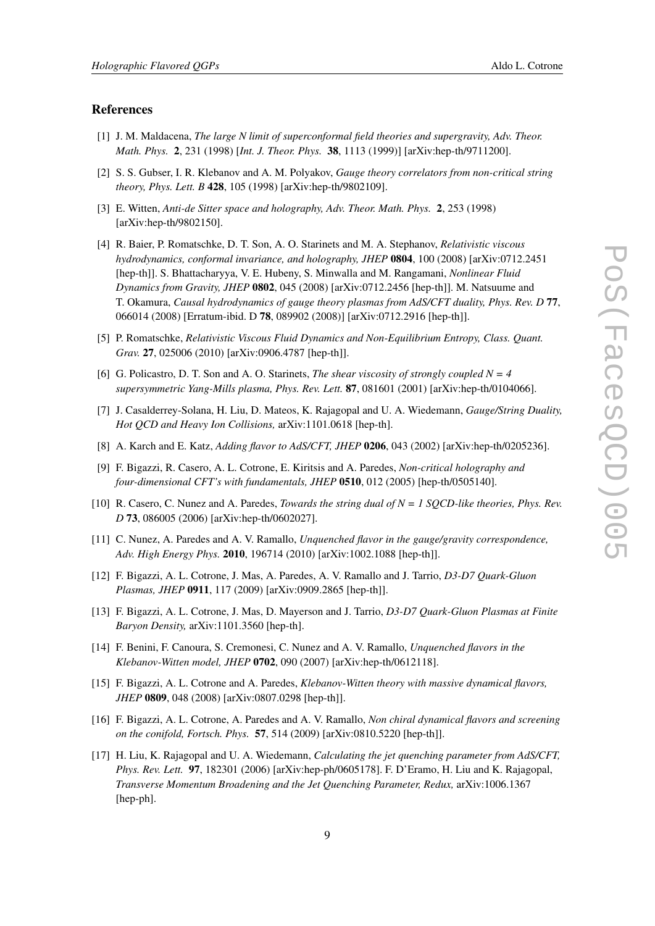#### <span id="page-8-0"></span>References

- [1] J. M. Maldacena, *The large N limit of superconformal field theories and supergravity, Adv. Theor. Math. Phys.* 2, 231 (1998) [*Int. J. Theor. Phys.* 38, 1113 (1999)] [arXiv:hep-th/9711200].
- [2] S. S. Gubser, I. R. Klebanov and A. M. Polyakov, *Gauge theory correlators from non-critical string theory, Phys. Lett. B* 428, 105 (1998) [arXiv:hep-th/9802109].
- [3] E. Witten, *Anti-de Sitter space and holography, Adv. Theor. Math. Phys.* 2, 253 (1998) [arXiv:hep-th/9802150].
- [4] R. Baier, P. Romatschke, D. T. Son, A. O. Starinets and M. A. Stephanov, *Relativistic viscous hydrodynamics, conformal invariance, and holography, JHEP* 0804, 100 (2008) [arXiv:0712.2451 [hep-th]]. S. Bhattacharyya, V. E. Hubeny, S. Minwalla and M. Rangamani, *Nonlinear Fluid Dynamics from Gravity, JHEP* 0802, 045 (2008) [arXiv:0712.2456 [hep-th]]. M. Natsuume and T. Okamura, *Causal hydrodynamics of gauge theory plasmas from AdS/CFT duality, Phys. Rev. D* 77, 066014 (2008) [Erratum-ibid. D 78, 089902 (2008)] [arXiv:0712.2916 [hep-th]].
- [5] P. Romatschke, *Relativistic Viscous Fluid Dynamics and Non-Equilibrium Entropy, Class. Quant. Grav.* 27, 025006 (2010) [arXiv:0906.4787 [hep-th]].
- [6] G. Policastro, D. T. Son and A. O. Starinets, *The shear viscosity of strongly coupled N = 4 supersymmetric Yang-Mills plasma, Phys. Rev. Lett.* 87, 081601 (2001) [arXiv:hep-th/0104066].
- [7] J. Casalderrey-Solana, H. Liu, D. Mateos, K. Rajagopal and U. A. Wiedemann, *Gauge/String Duality, Hot QCD and Heavy Ion Collisions,* arXiv:1101.0618 [hep-th].
- [8] A. Karch and E. Katz, *Adding flavor to AdS/CFT, JHEP* 0206, 043 (2002) [arXiv:hep-th/0205236].
- [9] F. Bigazzi, R. Casero, A. L. Cotrone, E. Kiritsis and A. Paredes, *Non-critical holography and four-dimensional CFT's with fundamentals, JHEP* 0510, 012 (2005) [hep-th/0505140].
- [10] R. Casero, C. Nunez and A. Paredes, *Towards the string dual of N = 1 SQCD-like theories, Phys. Rev. D* 73, 086005 (2006) [arXiv:hep-th/0602027].
- [11] C. Nunez, A. Paredes and A. V. Ramallo, *Unquenched flavor in the gauge/gravity correspondence, Adv. High Energy Phys.* 2010, 196714 (2010) [arXiv:1002.1088 [hep-th]].
- [12] F. Bigazzi, A. L. Cotrone, J. Mas, A. Paredes, A. V. Ramallo and J. Tarrio, *D3-D7 Quark-Gluon Plasmas, JHEP* 0911, 117 (2009) [arXiv:0909.2865 [hep-th]].
- [13] F. Bigazzi, A. L. Cotrone, J. Mas, D. Mayerson and J. Tarrio, *D3-D7 Quark-Gluon Plasmas at Finite Baryon Density,* arXiv:1101.3560 [hep-th].
- [14] F. Benini, F. Canoura, S. Cremonesi, C. Nunez and A. V. Ramallo, *Unquenched flavors in the Klebanov-Witten model, JHEP* 0702, 090 (2007) [arXiv:hep-th/0612118].
- [15] F. Bigazzi, A. L. Cotrone and A. Paredes, *Klebanov-Witten theory with massive dynamical flavors, JHEP* 0809, 048 (2008) [arXiv:0807.0298 [hep-th]].
- [16] F. Bigazzi, A. L. Cotrone, A. Paredes and A. V. Ramallo, *Non chiral dynamical flavors and screening on the conifold, Fortsch. Phys.* 57, 514 (2009) [arXiv:0810.5220 [hep-th]].
- [17] H. Liu, K. Rajagopal and U. A. Wiedemann, *Calculating the jet quenching parameter from AdS/CFT, Phys. Rev. Lett.* 97, 182301 (2006) [arXiv:hep-ph/0605178]. F. D'Eramo, H. Liu and K. Rajagopal, *Transverse Momentum Broadening and the Jet Quenching Parameter, Redux,* arXiv:1006.1367 [hep-ph].